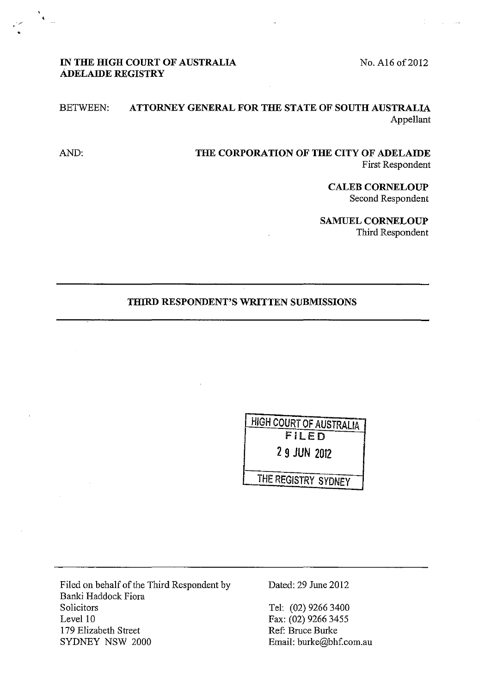No. A16 of 2012

# IN THE HIGH COURT OF AUSTRALIA **ADELAIDE REGISTRY**

'/

 $\mathbf{A}^{\dagger}$ 

# BETWEEN: **ATTORNEY GENERAL FOR THE STATE OF SOUTH AUSTRALIA**  Appellant

AND: **THE CORPORATION OF THE CITY OF ADELAIDE**  First Respondent

> **CALEB CORNELOUP**  Second Respondent

**SAMUEL CORNELOUP**  Third Respondent

### **THIRD RESPONDENT'S WRITTEN SUBMISSIONS**

| <b>HIGH COURT OF AUSTRALIA</b> |
|--------------------------------|
| FILED                          |
| 2 9 JUN 2012                   |
|                                |
| THE REGISTRY SYDNEY            |

Filed on behalf of the Third Respondent by Banki Haddock Fiora Solicitors Level 10 179 Elizabeth Street SYDNEY NSW 2000

Dated: 29 June 2012

Tel: (02) 9266 3400 Fax: (02) 9266 3455 Ref: Bruce Burke Email: burke@bhf.com.au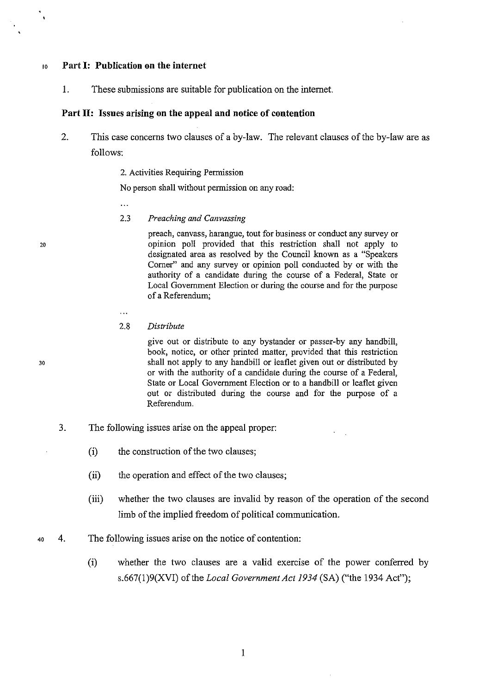### <sup>10</sup>**Part 1: Publication on the internet**

1. These submissions are suitable for publication on the internet.

### **Part II: Issues arising on the appeal and notice of contention**

- 2. This case concerns two clauses of a by-law. The relevant clauses of the by-law are as follows:
	- 2. Activities Requiring Permission

No person shall without permission on any road:

 $\ddotsc$ 

. . .

2.3 *Preaching and Canvassing* 

> preach, canvass, harangue, tout for business or conduct any survey or opinion poll provided that this restriction shall not apply to designated area as resolved by the Council known as a "Speakers" Corner" and any survey or opinion poll conducted by or with the authority of a candidate during the course of a Federal, State or Local Government Election or during the course and for the purpose of a Referendum;

2.8 *Distribute* 

> give out or distribute to any bystander or passer-by any handbill, book, notice, or other printed matter, provided that this restriction shall not apply to any handbill or leaflet given out or distributed by or with the authority of a candidate during the course of a Federal, State or Local Government Election or to a handbill or leaflet given out or distributed during the course and for the purpose of a Referendum.

- 3. The following issues arise on the appeal proper:
	- (i) the construction of the two clauses;
	- (ii) the operation and effect of the two clauses;
	- (iii) whether the two clauses are invalid by reason of the operation of the second limb of the implied freedom of political communication.
- 40 4. The following issues arise on the notice of contention:
	- (i) whether the two clauses are a valid exercise of the power conferred by s.667(1 )9(XVI) of the *Local Government Act 1934* (SA) ("the 1934 Act");

20

 $\ddot{\phantom{1}}$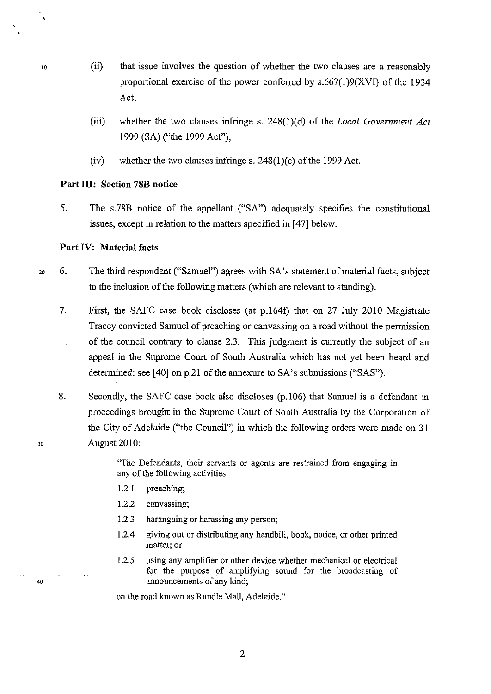- 10 (ii) that issue involves the question of whether the two clauses are a reasonably proportional exercise of the power conferred by  $s.667(1)9(XVI)$  of the 1934 Act;
	- (iii) whether the two clauses infringe s. 248(1)(d) of the *Local Government Act*  1999 (SA) ("the 1999 Act");
	- (iv) whether the two clauses infringe s.  $248(1)(e)$  of the 1999 Act.

### Part III: Section 78B notice

5. The s. 78B notice of the appellant ("SA") adequately specifies the constitutional issues, except in relation to the matters specified in [47] below.

### Part IV: Material facts

- 20 6. The third respondent ("Samuel") agrees with SA's statement of material facts, subject to the inclusion of the following matters (which are relevant to standing).
	- 7. First, the SAFC case book discloses (at p.164f) that on 27 July 2010 Magistrate Tracey convicted Samuel of preaching or canvassing on a road without the permission of the council contrary to clause 2.3. This judgment is currently the subject of an appeal in the Supreme Court of South Australia which has not yet been heard and determined: see [40] on p.21 of the annexure to SA's submissions ("SAS").
	- 8. Secondly, the SAFC case book also discloses (p.106) that Samuel is a defendant in proceedings brought in the Supreme Court of South Australia by the Corporation of the City of Adelaide ("the Council") in which the following orders were made on 31 August 2010:

"The Defendants, their servants or agents are restrained from engaging in any of the following activities:

- 1.2.1 preaching;
- 1.2.2 canvassing;
- 1.2.3 haranguing or harassing any person;
- 1.2.4 giving out or distributing any handbill, book, notice, or other printed **matter; or**
- 1.2.5 using any amplifier or other device whether mechanical or electrical for the purpose of amplifying sound for the broadcasting of announcements of any kind;

on the road known as Rundle Mall, Adelaide."

 $\ddot{\bullet}$ 

30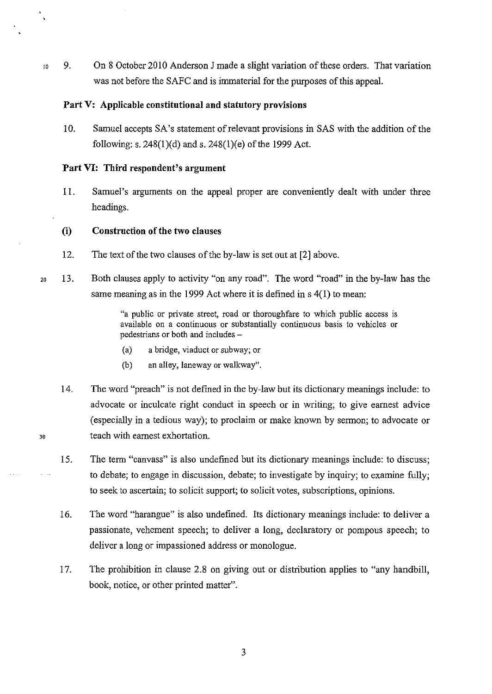$10 \quad 9.$  On 8 October 2010 Anderson J made a slight variation of these orders. That variation was not before the SAFC and is immaterial for the purposes of this appeal.

### **Part V: Applicable constitutional and statutory provisions**

10. Samuel accepts SA's statement of relevant provisions in SAS with the addition of the following: s.  $248(1)(d)$  and s.  $248(1)(e)$  of the 1999 Act.

### **Part VI: Third respondent's argument**

II. Samuel's arguments on the appeal proper are conveniently dealt with under three headings.

### **(i) Construction of the two clauses**

- 12. The text of the two clauses of the by-law is set out at [2] above.
- 20 13. Both clauses apply to activity "on any road". The word "road" in the by-law has the same meaning as in the 1999 Act where it is defined in s 4(1) to mean:

"a public or private street, road or thoroughfare to which public access is available on a continuous or substantially continuous basis to vehicles or pedestrians or both and includes -

- (a) a bridge, viaduct or subway; or
- (b) an alley, laneway or walkway".
- 14. The word "preach" is not defined in the by-law but its dictionary meanings include: to advocate or inculcate right conduct in speech or in writing; to give earnest advice (especially in a tedious way); to proclaim or make known by sermon; to advocate or teach with earnest exhortation.
- 15. The term "canvass" is also undefined but its dictionary meanings include: to discuss; to debate; to engage in discussion, debate; to investigate by inquiry; to examine fully; to seek to ascertain; to solicit support; to solicit votes, subscriptions, opinions.
- 16. The word "harangue" is also undefined. Its dictionary meanings include: to deliver a passionate, vehement speech; to deliver a long, declaratory or pompous speech; to deliver a long or impassioned address or monologue.
- 17. The prohibition in clause 2.8 on giving out or distribution applies to "any handbill, book, notice, or other printed matter".

 $\ddot{\phantom{a}}$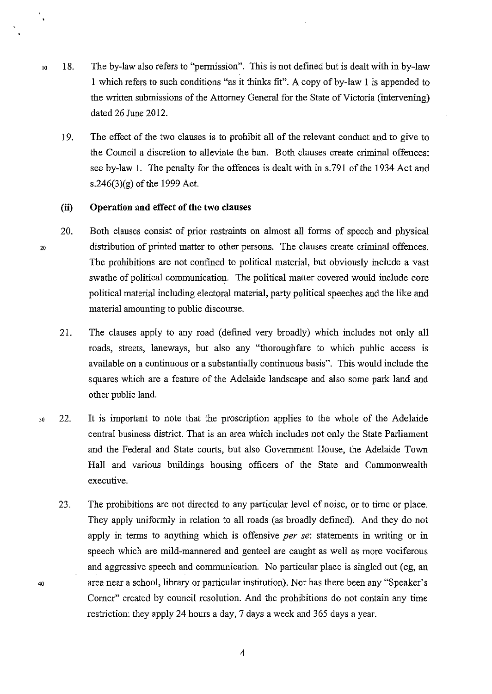- 10 18. The by-law also refers to "permission". This is not defined but is dealt with in by-law 1 which refers to such conditions "as it thinks fit". A copy of by-law 1 is appended to the written submissions of the Attorney General for the State of Victoria (intervening) dated 26 June 2012.
	- 19. The effect of the two clauses is to prohibit all of the relevant conduct and to give to the Council a discretion to alleviate the ban. Both clauses create criminal offences: see by-law I. The penalty for the offences is dealt with in s.791 of the 1934 Act and s.246(3)(g) of the 1999 Act.

#### **(ii) Operation and effect of the two clauses**

- 20. Both clauses consist of prior restraints on almost all forms of speech and physical distribution of printed matter to other persons. The clauses create criminal offences. The prohibitions are not confined to political material, but obviously include a vast swathe of political communication. The political matter covered would include core political material including electoral material, party political speeches and the like and material amounting to public discourse.
	- 21. The clauses apply to any road (defined very broadly) which includes not only all roads, streets, laneways, but also any "thoroughfare to which public access is available on a continuous or a substantially continuous basis". This would include the squares which are a feature of the Adelaide landscape and also some park land and other public land.
- 30 22. It is important to note that the proscription applies to the whole of the Adelaide central business district. That is an area which includes not only the State Parliament and the Federal and State courts, but also Government House, the Adelaide Town Hall and various buildings housing officers of the State and Commonwealth executive.
	- 23. The prohibitions are not directed to any particular level of noise, or to time or place. They apply uniformly in relation to all roads (as broadly defined). And they do not apply in terms to anything which is offensive *per* se: statements in writing or in speech which are mild-mannered and genteel are caught as well as more vociferous and aggressive speech and communication. No particular place is singled out (eg, an area near a school, library or particular institution). Nor has there been any "Speaker's Comer" created by council resolution. And the prohibitions do not contain any time restriction: they apply 24 hours a day, 7 days a week and 365 days a year.

20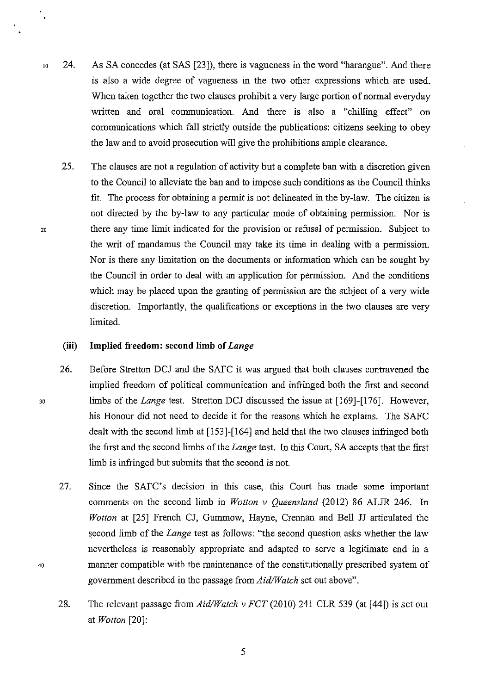- 10 24. As SA concedes (at SAS [23]), there is vagueness in the word "harangue". And there is also a wide degree of vagueness in the two other expressions which are used. When taken together the two clauses prohibit a very large portion of normal everyday written and oral communication. And there is also a "chilling effect" on communications which fall strictly outside the publications: citizens seeking to obey the law and to avoid prosecution will give the prohibitions ample clearance.
	- 25. The clauses are not a regulation of activity but a complete ban with a discretion given to the Council to alleviate the ban and to impose such conditions as the Council thinks fit. The process for obtaining a permit is not delineated in the by-law. The citizen is not directed by the by-law to any particular mode of obtaining permission. Nor is there any time limit indicated for the provision or refusal of permission. Subject to the writ of mandamus the Council may take its time in dealing with a permission. Nor is there any limitation on the documents or information which can be sought by the Council in order to deal with an application for permission. And the conditions which may be placed upon the granting of permission are the subject of a very wide discretion. Importantly, the qualifications or exceptions in the two clauses are very limited.

### **(iii) Implied freedom: second limb of** *Lange*

- 26. Before Stretton DCJ and the SAFC it was argued that both clauses contravened the implied freedom of political communication and infringed both the first and second Jo limbs of the *Lange* test. Stretton DCJ discussed the issue at [169]-[176]. However, his Honour did not need to decide it for the reasons which he explains. The SAFC dealt with the second limb at [153]-[164] and held that the two clauses infringed both the first and the second limbs of the *Lange* test. In this Court, SA accepts that the first limb is infringed but submits that the second is not.
	- 27. Since the SAFC's decision in this case, this Court has made some important comments on the second limb in *Wotton v Queensland* (2012) 86 ALJR 246. In *Wotton* at [25] French CJ, Gummow, Hayne, Crennan and Bell JJ articulated the second limb of the *Lange* test as follows: "the second question asks whether the law nevertheless is reasonably appropriate and adapted to serve a legitimate end in a manner compatible with the maintenance of the constitutionally prescribed system of government described in the passage from *Aid/Watch* set out above".
	- 28. The relevant passage from *Aid/Watch v FCT* (2010) 241 CLR 539 (at [44]) is set out at *Wotton* [20]:

20

 $\ddot{\phantom{a}}$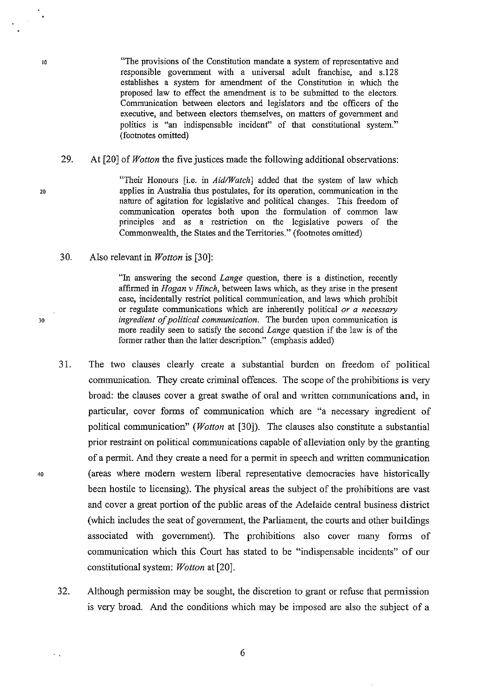"The provisions of the Constitution mandate a system of representative and responsible government with a universal adult franchise, and s.l28 establishes a system for amendment of the Constitution in which the proposed law to effect the amendment is to be submitted to the electors. Communication between electors and legislators and the officers of the executive, and between electors themselves, on matters of government and politics is "an indispensable incident" of that constitutional system." (footnotes omitted)

29. At [20] of *Wotton* the five justices made the following additional observations:

> "Their Honours [i.e. in *Aid/Watch]* added that the system of law which applies in Australia thus postulates, for its operation, communication in the nature of agitation for legislative and political changes. This freedom of communication operates both upon the formulation of common law principles and as a restriction on the legislative powers of the Commonwealth, the States and the Territories." (footnotes omitted)

30. Also relevant in *Wotton* is [30]:

> "In answering the second *Lange* question, there is a distinction, recently affirmed in *Hogan v Hinch,* between laws which, as they arise in the present case, incidentally restrict political communication, and laws which prohibit or regulate communications which are inherently political *or a necessary ingredient of political communication.* The burden upon communication is more readily seen to satisfy the second *Lange* question if the law is of the former rather than the latter description." (emphasis added)

- 31. The two clauses clearly create a substantial burden on freedom of political communication. They create criminal offences. The scope of the prohibitions is very broad: the clauses cover a great swathe of oral and written communications and, in particular, cover forms of communication which are "a necessary ingredient of political communication" *(Wotton* at [30]). The clauses also constitute a substantial prior restraint on political communications capable of alleviation only by the granting of a permit. And they create a need for a permit in speech and written communication (areas where modem western liberal representative democracies have historically been hostile to licensing). The physical areas the subject of the prohibitions are vast and cover a great portion of the public areas of the Adelaide central business district (which includes the seat of government, the Parliament, the courts and other buildings associated with government). The prohibitions also cover many forms of communication which this Court has stated to be "indispensable incidents" of our constitutional system: *Wotton* at [20].
- 32. Although permission may be sought, the discretion to grant or refuse that permission is very broad. And the conditions which may be imposed are also the subject of a

20

30

40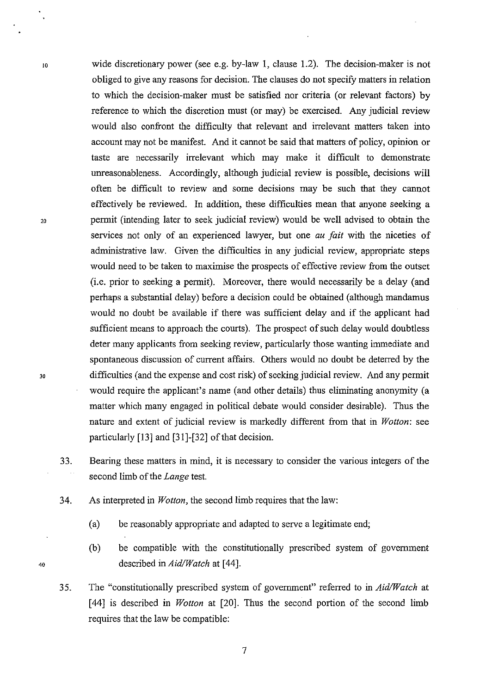- wide discretionary power (see e.g. by-law 1, clause 1.2). The decision-maker is not obliged to give any reasons for decision. The clauses do not specify matters in relation to which the decision-maker must be satisfied nor criteria (or relevant factors) by reference to which the discretion must (or may) be exercised. Any judicial review would also confront the difficulty that relevant and irrelevant matters taken into account may not be manifest. And it cannot be said that matters of policy, opinion or taste are necessarily irrelevant which may make it difficult to demonstrate unreasonableness. Accordingly, although judicial review is possible, decisions will often be difficult to review and some decisions may be such that they cannot effectively be reviewed. In addition, these difficulties mean that anyone seeking a permit (intending later to seek judicial review) would be well advised to obtain the services not only of an experienced lawyer, but one *au fait* with the niceties of administrative law. Given the difficulties in any judicial review, appropriate steps would need to be taken to maximise the prospects of effective review from the outset (i.e. prior to seeking a permit). Moreover, there would necessarily be a delay (and perhaps a substantial delay) before a decision could be obtained (although mandamus would no doubt be available if there was sufficient delay and if the applicant had sufficient means to approach the courts). The prospect of such delay would doubtless deter many applicants from seeking review, particularly those wanting immediate and spontaneous discussion of current affairs. Others would no doubt be deterred by the difficulties (and the expense and cost risk) of seeking judicial review. And any permit would require the applicant's name (and other details) thus eliminating anonymity (a matter which many engaged in political debate would consider desirable). Thus the nature and extent of judicial review is markedly different from that in *Wotton:* see particularly  $[13]$  and  $[31]$ - $[32]$  of that decision.
- 33. Bearing these matters in mind, it is necessary to consider the various integers of the second limb of the *Lange* test.
- 34. As interpreted in *Wotton,* the second limb requires that the law:
	- (a) be reasonably appropriate and adapted to serve a legitimate end;
	- (b) be compatible with the constitutionally prescribed system of government described in *Aid/Watch* at [44].
- 35. The "constitutionally prescribed system of government" referred to in *Aid/Watch* at [ 44] is described in *Wotton* at [20]. Thus the second portion of the second limb requires that the law be compatible:

20

10

30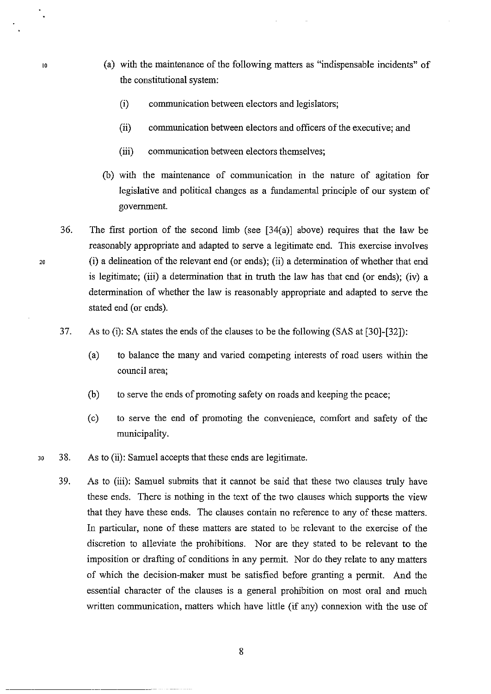- (a) with the maintenance of the following matters as "indispensable incidents" of the constitutional system:
	- (i) communication between electors and legislators;
	- (ii) communication between electors and officers of the executive; and
	- (iii) communication between electors themselves;
- (b) with the maintenance of communication in the nature of agitation for legislative and political changes as a fundamental principle of our system of government.
- 36. The first portion of the second limb (see  $[34(a)]$  above) requires that the law be reasonably appropriate and adapted to serve a legitimate end. This exercise involves (i) a delineation of the relevant end (or ends); (ii) a determination of whether that end is legitimate; (iii) a determination that in truth the law has that end (or ends); (iv) a determination of whether the law is reasonably appropriate and adapted to serve the stated end (or ends).

37. As to (i): SA states the ends of the clauses to be the following (SAS at [30]-[32]):

- (a) to balance the many and varied competing interests of road users within the council area;
- (b) to serve the ends of promoting safety on roads and keeping the peace;
- (c) to serve the end of promoting the convenience, comfort and safety of the municipality.
- 30 38. As to (ii): Samuel accepts that these ends are legitimate.
	- 39. As to (iii): Samuel submits that it cannot be said that these two clauses truly have these ends. There is nothing in the text of the two clauses which supports the view that they have these ends. The clauses contain no reference to any of these matters. In particular, none of these matters are stated to be relevant to the exercise of the discretion to alleviate the prohibitions. Nor are they stated to be relevant to the imposition or drafting of conditions in any permit. Nor do they relate to any matters of which the decision-maker must be satisfied before granting a permit. And the essential character of the clauses is a general prohibition on most oral and much written communication, matters which have little (if any) connexion with the use of

20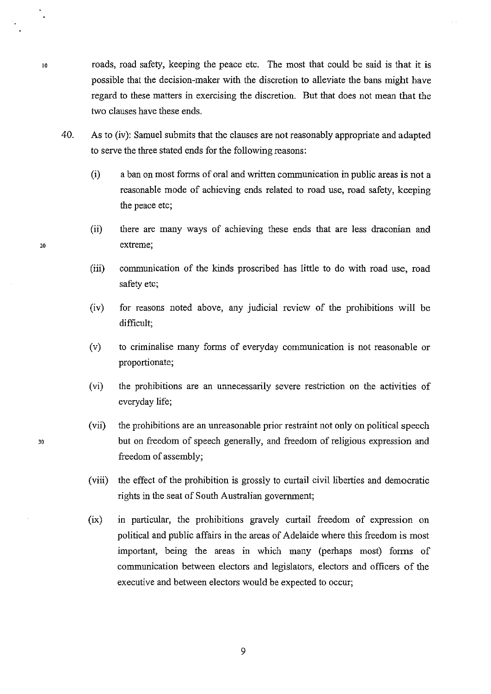10 roads, road safety, keeping the peace etc. The most that could be said is that it is possible that the decision-maker with the discretion to alleviate the bans might have regard to these matters in exercising the discretion. But that does not mean that the two clauses have these ends.

- 40. As to (iv): Samuel submits that the clauses are not reasonably appropriate and adapted to serve the three stated ends for the following reasons:
	- (i) a ban on most forms of oral and written communication in public areas is not a reasonable mode of achieving ends related to road use, road safety, keeping the peace etc;
- (ii) there are many ways of achieving these ends that are less draconian and 20 extreme;
	- (iii) communication of the kinds proscribed has little to do with road use, road safety etc;
	- (iv) for reasons noted above, any judicial review of the prohibitions will be difficult;
	- (v) to criminalise many forms of everyday communication is not reasonable or proportionate;
	- (vi) the prohibitions are an unnecessarily severe restriction on the activities of everyday life;
	- (vii) the prohibitions are an unreasonable prior restraint not only on political speech but on freedom of speech generally, and freedom of religious expression and freedom of assembly;
	- (viii) the effect of the prohibition is grossly to curtail civil liberties and democratic rights in the seat of South Australian government;
	- $(ix)$  in particular, the prohibitions gravely curtail freedom of expression on political and public affairs in the areas of Adelaide where this freedom is most important, being the areas in which many (perhaps most) forms of communication between electors and legislators, electors and officers of the executive and between electors would be expected to occur;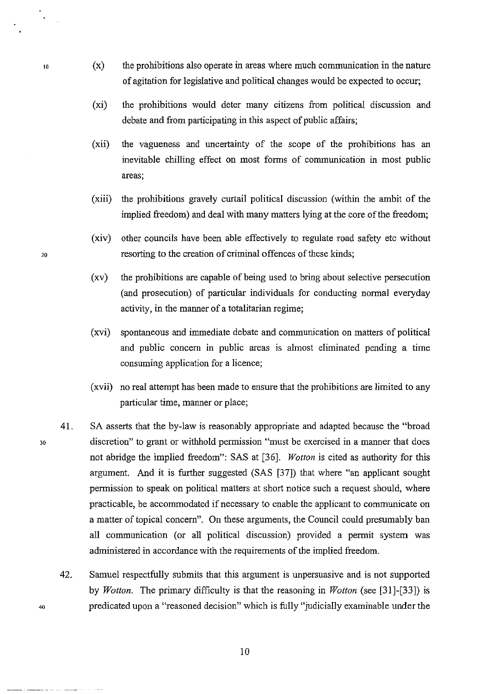- 10 (x) the prohibitions also operate in areas where much communication in the nature of agitation for legislative and political changes would be expected to occur;
	- (xi) the prohibitions would deter many citizens from political discussion and debate and from participating in this aspect of public affairs;
	- (xii) the vagueness and uncertainty of the scope of the prohibitions has an inevitable chilling effect on most forms of communication in most public areas;
	- (xiii) the prohibitions gravely curtail political discussion (within the ambit of the implied freedom) and deal with many matters lying at the core of the freedom;
- (xiv) other councils have been able effectively to regulate road safety etc without 20 resorting to the creation of criminal offences of these kinds;
	- (xv) the prohibitions are capable of being used to bring about selective persecution (and prosecution) of particular individuals for conducting normal everyday activity, in the manner of a totalitarian regime;
	- (xvi) spontaneous and immediate debate and communication on matters of political and public concern in public areas is almost eliminated pending a time consuming application for a licence;
	- (xvii) no real attempt has been made to ensure that the prohibitions are limited to any particular time, manner or place;
	- 41. SA asserts that the by-law is reasonably appropriate and adapted because the "broad discretion" to grant or withhold permission "must be exercised in a manner that does not abridge the implied freedom": SAS at [36]. *Wotton* is cited as authority for this argument. And it is further suggested (SAS [37]) that where "an applicant sought permission to speak on political matters at short notice such a request should, where practicable, be accommodated if necessary to enable the applicant to communicate on a matter of topical concern". On these arguments, the Council could presumably ban all communication (or all political discussion) provided a permit system was administered in accordance with the requirements of the implied freedom.
		- 42. Samuel respectfully submits that this argument is unpersuasive and is not supported by *Wotton.* The primary difficulty is that the reasoning in *Wotton* (see [31)-[33]) is predicated upon a "reasoned decision" which is fully "judicially examinable under the

30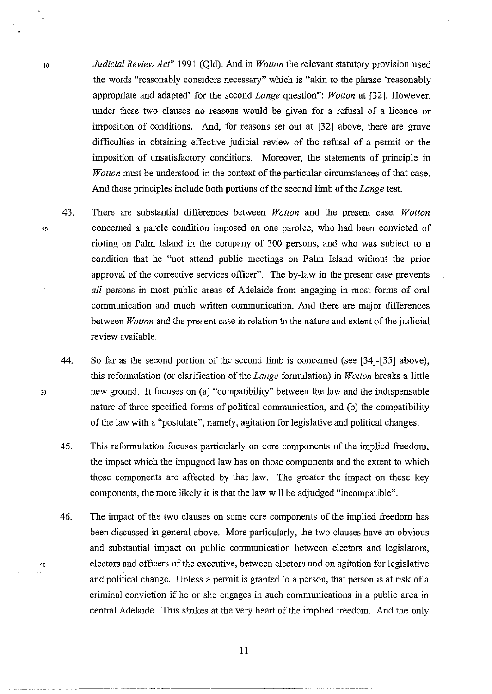- *Judicial Review Act"* 1991 (Qld). And in *Wotton* the relevant statutory provision used the words "reasonably considers necessary" which is "akin to the phrase 'reasonably appropriate and adapted' for the second *Lange* question": *Wotton* at [32]. However, under these two clauses no reasons would be given for a refusal of a licence or imposition of conditions. And, for reasons set out at [32] above, there are grave difficulties in obtaining effective judicial review of the refusal of a permit or the imposition of unsatisfactory conditions. Moreover, the statements of principle in *Wotton* must be understood in the context of the particular circumstances of that case. And those principles include both portions of the second limb of the *Lange* test.
	- 43. There are substantial differences between *Wotton* and the present case. *Wotton*  concerned a parole condition imposed on one parolee, who had been convicted of rioting on Palm Island in the company of 300 persons, and who was subject to a condition that he "not attend public meetings on Palm Island without the prior approval of the corrective services officer". The by-law in the present case prevents *all* persons in most public areas of Adelaide from engaging in most forms of oral communication and much written communication. And there are major differences between *Wotton* and the present case in relation to the nature and extent of the judicial review available.
	- 44. So far as the second portion of the second limb is concerned (see [34]-[35] above), this reformulation (or clarification of the *Lange* formulation) in *Wotton* breaks a little new ground. It focuses on (a) "compatibility" between the law and the indispensable nature of three specified forms of political communication, and (b) the compatibility of the law with a "postulate", namely, agitation for legislative and political changes.
	- 45. This reformulation focuses particularly on core components of the implied freedom, the impact which the impugned law has on those components and the extent to which those components are affected by that law. The greater the impact on these key components, the more likely it is that the law will be adjudged "incompatible".
	- 46. The impact of the two clauses on some core components of the implied freedom has been discussed in general above. More particularly, the two clauses have an obvious and substantial impact on public communication between electors and legislators, electors and officers of the executive, between electors and on agitation for legislative and political change. Unless a permit is granted to a person, that person is at risk of a criminal conviction if he or she engages in such communications in a public area in central Adelaide. This strikes at the very heart of the implied freedom. And the only

20

lO

30

----~--- ---------··

40

 $\sim 10$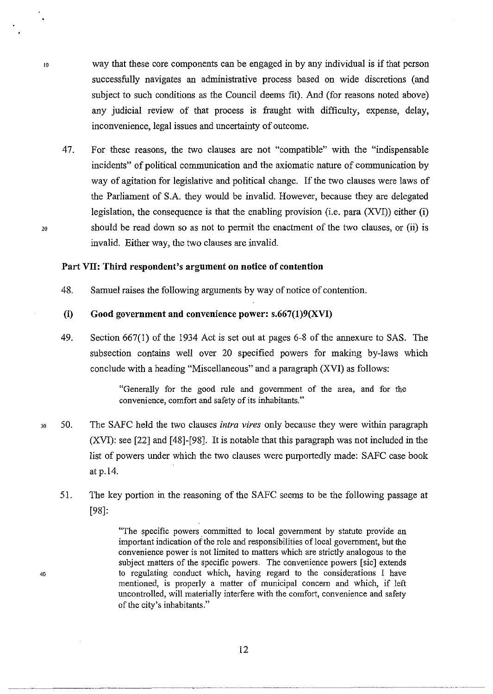- way that these core components can be engaged in by any individual is if that person successfully navigates an administrative process based on wide discretions (and subject to such conditions as the Council deems fit). And (for reasons noted above) any judicial review of that process is fraught with difficulty, expense, delay, inconvenience, legal issues and uncertainty of outcome.
	- 47. For these reasons, the two clauses are not "compatible" with the "indispensable incidents" of political communication and the axiomatic nature of communication by way of agitation for legislative and political change. If the two clauses were laws of the Parliament of S.A. they would be invalid. However, because they are delegated legislation, the consequence is that the enabling provision (i.e. para (XVI)) either (i) should be read down so as not to permit the enactment of the two clauses, or (ii) is invalid. Either way, the two clauses are invalid.

### **Part VII: Third respondent's argument on notice of contention**

48. Samuel raises the following arguments by way of notice of contention.

### **(i) Good government and convenience power: s.667(1)9(XVI)**

49. Section 667(1) of the 1934 Act is set out at pages 6-8 of the annexure to SAS. The subsection contains well over 20 specified powers for making by-laws which conclude with a heading "Miscellaneous" and a paragraph (XVI) as follows:

> "Generally for the good rule and government of the area, and for the convenience, comfort and safety of its inhabitants."

- 30 50. The SAFC held the two clauses *intra vires* only because they were within paragraph  $(XVI)$ : see [22] and [48]-[98]. It is notable that this paragraph was not included in the list of powers under which the two clauses were purportedly made: SAFC case book at p.14.
	- 51. The key portion in the reasoning of the SAFC seems to be the following passage at [98]:

"The specific powers committed to local government by statute provide an important indication of the role and responsibilities of local government, but the convenience power is not limited to matters which are strictly analogous to the subject matters of the specific powers. The convenience powers [sic] extends to regulating conduct which, having regard to the considerations I have mentioned, is properly a matter of municipal concern and which, if left uncontrolled, will materially interfere with the comfort, convenience and safety of the city's inhabitants."

20

40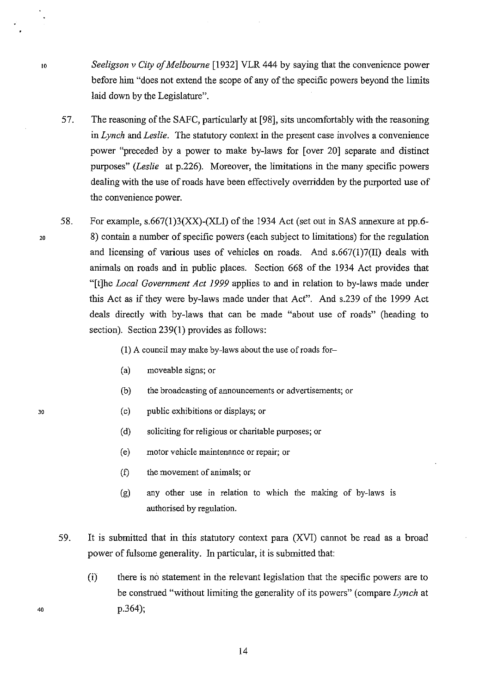*Seeligson v* City *of Melbourne* [1932] VLR 444 by saying that the convenience power before him "does not extend the scope of any of the specific powers beyond the limits laid down by the Legislature".

57. The reasoning of the SAFC, particularly at [98], sits uncomfortably with the reasoning in *Lynch* and *Leslie.* The statutory context in the present case involves a convenience power "preceded by a power to make by-laws for [over 20] separate and distinct purposes" *(Leslie* at p.226). Moreover, the limitations in the many specific powers dealing with the use of roads have been effectively overridden by the purported use of the convenience power.

58. For example,  $s.667(1)3(XX)$ -(XLI) of the 1934 Act (set out in SAS annexure at pp.6-8) contain a number of specific powers (each subject to limitations) for the regulation and licensing of various uses of vehicles on roads. And  $s.667(1)7(II)$  deals with animals on roads and in public places. Section 668 of the 1934 Act provides that "[t]he *Local Government Act 1999* applies to and in relation to by-laws made under this Act as if they were by-laws made under that Act". And s.239 of the 1999 Act deals directly with by-laws that can be made "about use of roads" (heading to section). Section 239(1) provides as follows:

(1) A council may make by-laws about the use of roads for-

- (a) moveable signs; or
- (b) the broadcasting of announcements or advertisements; or
- (c) public exhibitions or displays; or
- (d) soliciting for religious or charitable purposes; or
- (e) motor vehicle maintenance or repair; or
- (f) the movement of animals; or
- (g) any other use in relation to which the making of by-laws is authorised by regulation.
- 59. It is submitted that in this statutory context para (XVI) cannot be read as a broad power of fulsome generality. In particular, it is submitted that:
	- (i) there is no statement in the relevant legislation that the specific powers are to be construed "without limiting the generality of its powers" (compare *Lynch* at p.364);

20

10

30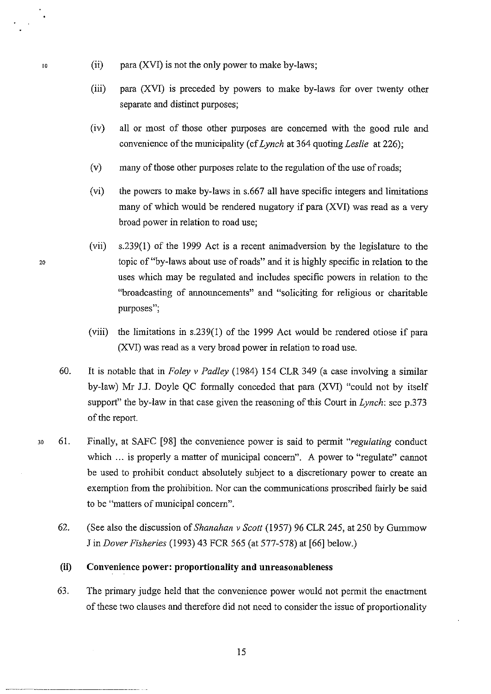- 10 (ii) para (XVI) is not the only power to make by-laws;
	- (iii) para (XVI) is preceded by powers to make by-laws for over twenty other separate and distinct purposes;
	- (iv) all or most of those other purposes are concerned with the good rule and convenience of the municipality ( cf *Lynch* at 364 quoting *Leslie* at 226);
	- (v) many of those other purposes relate to the regulation of the use of roads;
	- (vi) the powers to make by-laws in s.667 all have specific integers and limitations many of which would be rendered nugatory if para (XVI) was read as a very broad power in relation to road use;
- (vii) s.239(1) of the 1999 Act is a recent animadversion by the legislature to the 20 topic of"by-laws about use of roads" and it is highly specific in relation to the uses which may be regulated and includes specific powers in relation to the "broadcasting of announcements" and "soliciting for religious or charitable purposes";
	- (viii) the limitations in s.239(1) of the 1999 Act would be rendered otiose if para (XVI) was read as a very broad power in relation to road use.
	- 60. It is notable that in *Foley v Padley* (1984) 154 CLR 349 (a case involving a similar by-law) Mr J.J. Doyle QC formally conceded that para (XVI) "could not by itself support" the by-law in that case given the reasoning of this Court in *Lynch:* see p.373 of the report.
- 30 61. Finally, at SAFC [98] the convenience power is said to permit *"regulating* conduct which ... is properly a matter of municipal concern". A power to "regulate" cannot be used to prohibit conduct absolutely subject to a discretionary power to create an exemption from the prohibition. Nor can the communications proscribed fairly be said to be "matters of municipal concern".
	- 62. (See also the discussion of *Shanahan v Scott* (1957) 96 CLR 245, at 250 by Gummow J in *Dover Fisheries* (1993) 43 FCR 565 (at 577-578) at [66] below.)

### **(ii) Convenience power: proportionality and unreasonableness**

63. The primary judge held that the convenience power would not permit the enactment of these two clauses and therefore did not need to consider the issue of proportionality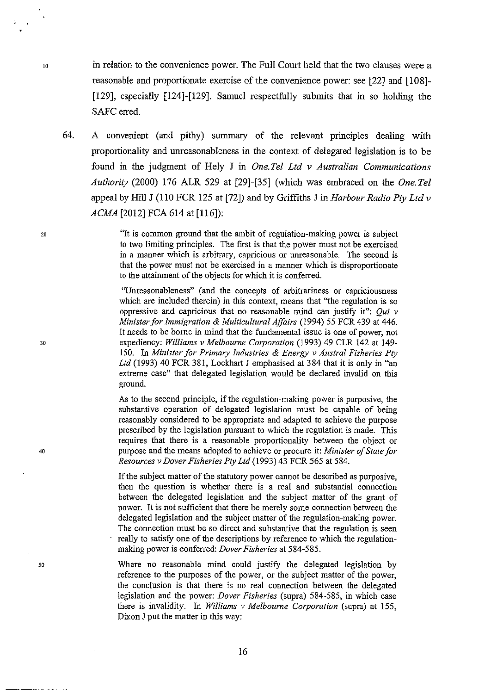in relation to the convenience power. The Full Court held that the two clauses were a reasonable and proportionate exercise of the convenience power: see [22] and [108]- [129], especially [124]-[129]. Samuel respectfully submits that in so holding the SAFC erred.

64. A convenient (and pithy) summary of the relevant principles dealing with proportionality and unreasonableness in the context of delegated legislation is to be found in the judgment of Hely J in *One.Tel Ltd v Australian Communications Authority* (2000) 176 ALR 529 at [29]-[35] (which was embraced on the *One.Tel*  appeal by Hill J (110 FCR 125 at [72]) and by Griffiths J in *Harbour Radio Pty Ltd v ACMA* [2012) FCA 614 at [116]):

> "It is common ground that the ambit of regulation-making power is subject to two limiting principles. The first is that the power must not be exercised in a manner which is arbitrary, capricious or unreasonable. The second is that the power must not be exercised in a manner which is disproportionate to the attainment of the objects for which it is conferred.

> "Unreasonableness" (and the concepts of arbitrariness or capriciousness which are included therein) in this context, means that "the regulation is so oppressive and capricious that no reasonable mind can justify it":  $Qui v$ *Minister for Immigration* & *Multicultural Affairs* (1994) 55 FCR 439 at 446. It needs to be borne in mind that the fundamental issue is one of power, not expediency: *Williams v Melbourne Corporation* (1993) 49 CLR 142 at 149- 150. In *Minister for Primary Industries* & *Energy v Austral Fisheries Pty Ltd* (1993) 40 FCR 381, Lockhart J emphasised at 384 that it is only in "an extreme case" that delegated legislation would be declared invalid on this ground.

> As to the second principle, if the regulation-making power is purposive, the substantive operation of delegated legislation must be capable of being reasonably considered to be appropriate and adapted to achieve the purpose prescribed by the legislation pursuant to which the regulation is made. This requires that there is a reasonable proportionality between the object or purpose and the means adopted to achieve or procure it: *Minister of State for Resources v Dover Fisheries Pty Ltd* (1993) 43 FCR 565 at 584.

> If the subject matter of the statutory power cannot be described as purposive, then the question is whether there is a real and substantial connection between the delegated legislation and the subject matter of the grant of power. It is not sufficient that there be merely some connection between the delegated legislation and the subject matter of the regulation-making power. The connection must be so direct and substantive that the regulation is seen really to satisfy one of the descriptions by reference to which the regulationmaking power is conferred: *Dover Fisheries* at 584-585.

> Where no reasonable mind could justify the delegated legislation by reference to the purposes of the power, or the subject matter of the power, the conclusion is that there is no real connection between the delegated legislation and the power: *Dover Fisheries* (supra) 584-585, in which case there is invalidity. In *Williams v Melbourne Corporation* (supra) at 155, Dixon J put the matter in this way:

20

10

30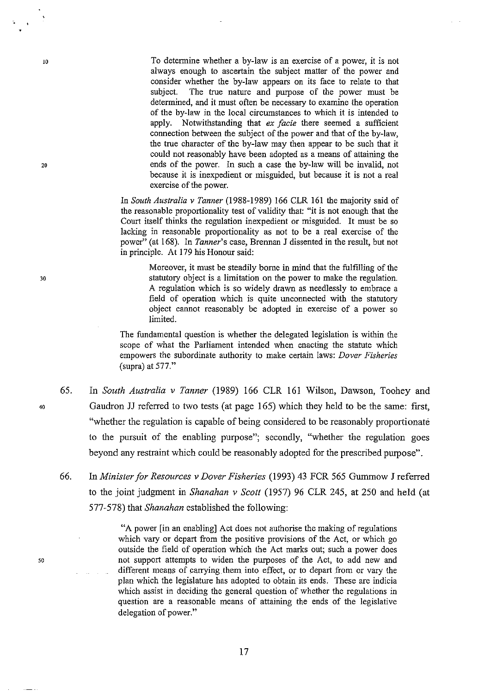To determine whether a by-law is an exercise of a power, it is not always enough to ascertain the subject matter of the power and consider whether the by-law appears on its face to relate to that subject. The true nature and purpose of the power must be determined, and it must often be necessary to examine the operation of the by-law in the local circumstances to which it is intended to apply. Notwithstanding that *ex facie* there seemed a sufficient connection between the subject of the power and that of the by-law, the true character of the by-law may then appear to be such that it could not reasonably have been adopted as a means of attaining the ends of the power. In such a case the by-law will be invalid, not because it is inexpedient or misguided, but because it is not a real exercise of the power.

In *South Australia v Tanner* (I988-1989) 166 CLR 161 the majority said of the reasonable proportionality test of validity that: "it is not enough that the Court itself thinks the regulation inexpedient or misguided. It must be so lacking in reasonable proportionality as not to be a real exercise of the power" (at 168). In *Tanner's* case, Brennan J dissented in the result, but not in principle. At 179 his Honour said:

> Moreover, it must be steadily borne in mind that the fulfilling of the statutory object is a limitation on the power to make the regulation. A regulation which is so widely drawn as needlessly to embrace a field of operation which is quite unconnected with the statutory object cannot reasonably be adopted in exercise of a power so limited.

The fundamental question is whether the delegated legislation is within the scope of what the Parliament intended when enacting the statute which empowers the subordinate authority to make certain laws: *Dover Fisheries*  (supra) at 577."

65. In *South Australia v Tanner* (1989) 166 CLR 161 Wilson, Dawson, Toohey and Gaudron JJ referred to two tests (at page 165) which they held to be the same: first, "whether the regulation is capable of being considered to be reasonably proportionate to the pursuit of the enabling purpose"; secondly, "whether the regulation goes beyond any restraint which could be reasonably adopted for the prescribed purpose".

66. In *Minister for Resources v Dover Fisheries* (1993) 43 FCR 565 Gurnmow J referred to the joint judgment in *Shanahan v Scott* (1957) 96 CLR 245, at 250 and held (at 577-578) that *Shanahan* established the following:

> "A power [in an enabling] Act does not authorise the making of regulations which vary or depart from the positive provisions of the Act, or which go outside the field of operation which the Act marks out; such a power does not support attempts to widen the purposes of the Act, to add new and different means of carrying them into effect, or to depart from or vary the plan which the legislature has adopted to obtain its ends. These are indicia which assist in deciding the general question of whether the regulations in question are a reasonable means of attaining the ends of the legislative delegation of power."

30

10

 $20$ 

40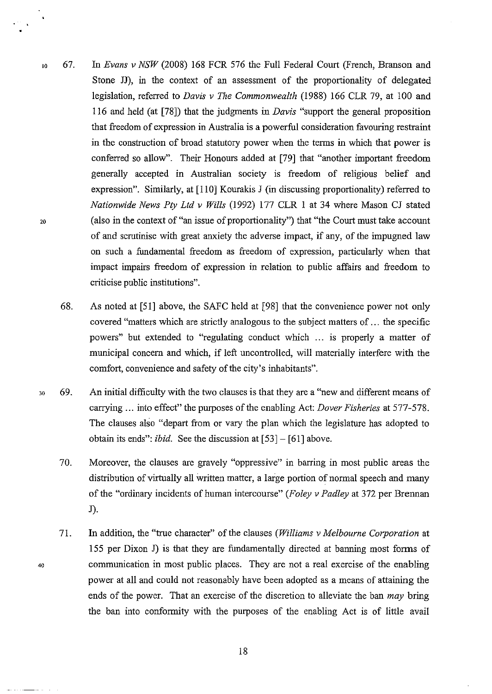- 10 20 67. In *Evans v NSW* (2008) 168 FCR 576 the Full Federal Court (French, Branson and Stone JJ), in the context of an assessment of the proportionality of delegated legislation, referred to *Davis v The Commonwealth* (1988) 166 CLR 79, at 100 and 116 and held (at [78]) that the judgments in *Davis* "support the general proposition that freedom of expression in Australia is a powerful consideration favouring restraint in the construction of broad statutory power when the terms in which that power is conferred so allow". Their Honours added at [79] that "another important freedom generally accepted in Australian society is freedom of religious belief and expression". Similarly, at [110] Kourakis J (in discussing proportionality) referred to *Nationwide News Pty Ltd v Wills* (1992) 177 CLR 1 at 34 where Mason CJ stated (also in the context of "an issue of proportionality") that "the Court must take account of and scrutinise with great anxiety the adverse impact, if any, of the impugned law on such a fundamental freedom as freedom of expression, particularly when that impact impairs freedom of expression in relation to public affairs and freedom to criticise public institutions".
	- 68. As noted at [51] above, the SAFC held at [98] that the convenience power not only covered "matters which are strictly analogous to the subject matters of ... the specific powers" but extended to "regulating conduct which ... is properly a matter of municipal concern and which, if left uncontrolled, will materially interfere with the comfort, convenience and safety of the city's inhabitants".
- 30 69. An initial difficulty with the two clauses is that they are a "new and different means of carrying ... into effect" the purposes of the enabling Act: *Dover Fisheries* at 577-578. The clauses also "depart from or vary the plan which the legislature has adopted to obtain its ends": *ibid.* See the discussion at [53]- [61] above.
	- 70. Moreover, the clauses are gravely "oppressive" in barring in most public areas the distribution of virtually all written matter, a large portion of normal speech and many of the "ordinary incidents of human intercourse" *(Foley v Padley* at 372 per Brennan J).
	- 71. In addition, the "true character" of the clauses *(Williams v Melbourne Corporation* at 155 per Dixon J) is that they are fundamentally directed at banning most forms of communication in most public places. They are not a real exercise of the enabling power at all and could not reasonably have been adopted as a means of attaining the ends of the power. That an exercise of the discretion to alleviate the ban *may* bring the ban into conformity with the purposes of the enabling Act is of little avail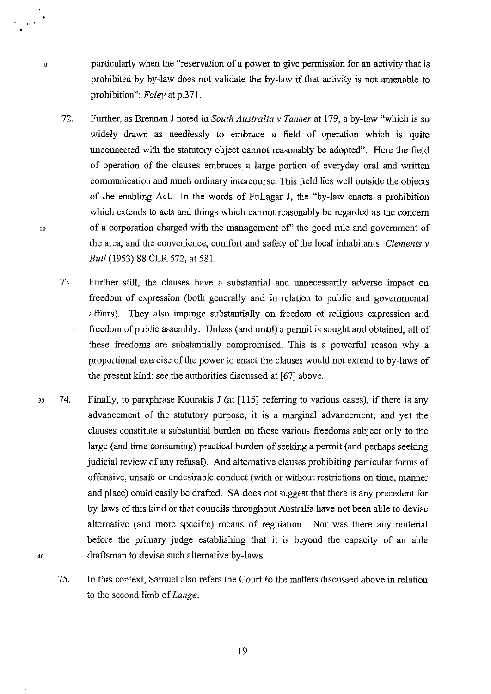particularly when the "reservation of a power to give permission for an activity that is prohibited by by-law does not validate the by-law if that activity is not amenable to prohibition": *Foley* at p.371.

- 72. Further, as Brennan J noted in *South Australia v Tanner* at 179, a by-law "which is so widely drawn as needlessly to embrace a field of operation which is quite unconnected with the statutory object cannot reasonably be adopted". Here the field of operation of the clauses embraces a large portion of everyday oral and written communication and much ordinary intercourse. This field lies well outside the objects of the enabling Act. In the words of Fullagar J, the "by-law enacts a prohibition which extends to acts and things which cannot reasonably be regarded as the concern of a corporation charged with the management of' the good rule and government of the area, and the convenience, comfort and safety of the local inhabitants: *Clements v Bull* (1953) 88 CLR 572, at 581.
- 73. Further still, the clauses have a substantial and unnecessarily adverse impact on freedom of expression (both generally and in relation to public and governmental affairs). They also impinge substantially on freedom of religious expression and freedom of public assembly. Unless (and until) a permit is sought and obtained, all of these freedoms are substantially compromised. This is a powerful reason why a proportional exercise of the power to enact the clauses would not extend to by-laws of the present kind: see the authorities discussed at [67] above.
- 30 74. Finally, to paraphrase Kourakis J (at [115] referring to various cases), if there is any advancement of the statutory purpose, it is a marginal advancement, and yet the clauses constitute a substantial burden on these various freedoms subject only to the large (and time consuming) practical burden of seeking a permit (and perhaps seeking judicial review of any refusal). And alternative clauses prohibiting particular forms of offensive, unsafe or undesirable conduct (with or without restrictions on time, manner and place) could easily be drafted. SA does not suggest that there is any precedent for by-laws of this kind or that councils throughout Australia have not been able to devise alternative (and more specific) means of regulation. Nor was there any material before the primary judge establishing that it is beyond the capacity of an able 40 draftsman to devise such alternative by-laws.
	- 75. In this context, Samuel also refers the Court to the matters discussed above in relation to the second limb of *Lange.*

20

10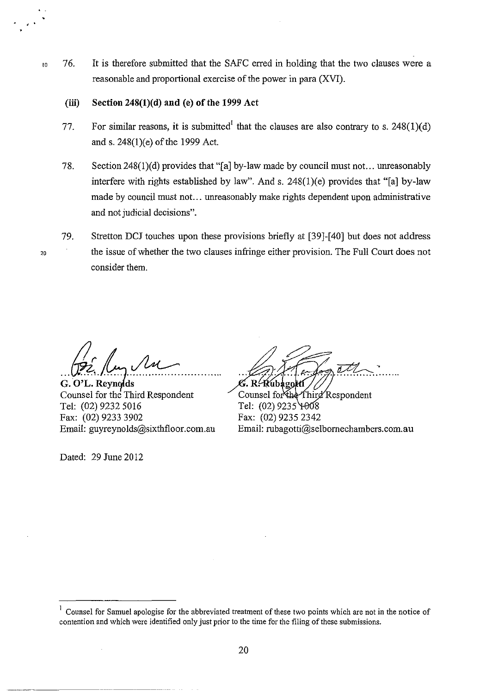10 76. It is therefore submitted that the SAFC erred in holding that the two clauses were a reasonable and proportional exercise of the power in para (XVI).

### **(iii) Section 248(l)(d) and** (e) **of the 1999 Act**

- 77. For similar reasons, it is submitted<sup>1</sup> that the clauses are also contrary to s. 248(1)(d) and s. 248(1 )(e) of the 1999 Act.
- 78. Section 248(1)(d) provides that "[a] by-law made by council must not... unreasonably interfere with rights established by law". And s.  $248(1)(e)$  provides that "[a] by-law made by council must not... unreasonably make rights dependent upon administrative and not judicial decisions".
- 79. Stretton DCJ touches upon these provisions briefly at [39]-[40] but does not address the issue of whether the two clauses infringe either provision. The Full Court does not consider them.

*M* 

G. O'L. Reynolds<br>Counsel for the Third Respondent Tel: (02) 9232 5016 Fax: (02) 9233 3902 Email: guyreynolds@sixthfloor.com.au

Dated: 29 June 2012

20

G. R. Rubagoktí

Counsel for the Third Respondent Tel: (02) 9235 4008 Fax: (02) 9235 2342 Email: rubagotti@selbornechambers.com.au

<sup>1</sup> Counsel for Samuel apologise for the abbreviated treatment of these two points which are not in the notice of contention and which were identified only just prior to the time for the filing of these submissions.